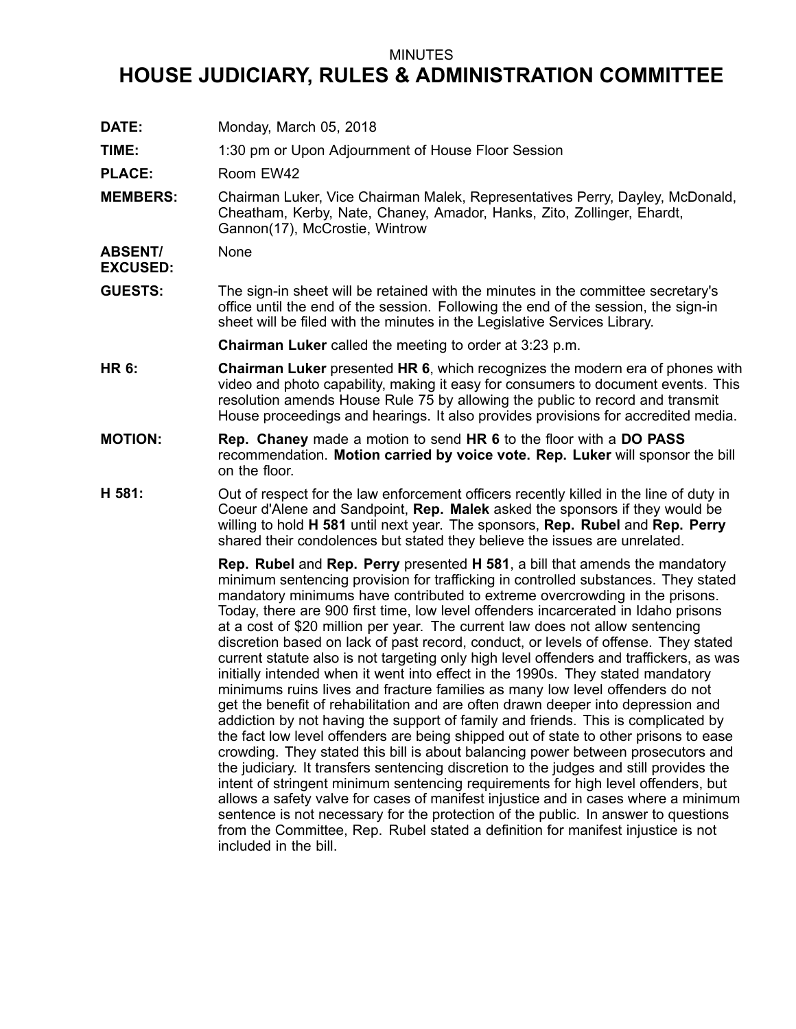## MINUTES

## **HOUSE JUDICIARY, RULES & ADMINISTRATION COMMITTEE**

**DATE:** Monday, March 05, 2018 **TIME:** 1:30 pm or Upon Adjournment of House Floor Session PLACE: Room EW42 **MEMBERS:** Chairman Luker, Vice Chairman Malek, Representatives Perry, Dayley, McDonald, Cheatham, Kerby, Nate, Chaney, Amador, Hanks, Zito, Zollinger, Ehardt, Gannon(17), McCrostie, Wintrow **ABSENT/ EXCUSED:** None **GUESTS:** The sign-in sheet will be retained with the minutes in the committee secretary's office until the end of the session. Following the end of the session, the sign-in sheet will be filed with the minutes in the Legislative Services Library. **Chairman Luker** called the meeting to order at 3:23 p.m. **HR 6: Chairman Luker** presented **HR 6**, which recognizes the modern era of phones with video and photo capability, making it easy for consumers to document events. This resolution amends House Rule 75 by allowing the public to record and transmit House proceedings and hearings. It also provides provisions for accredited media. **MOTION: Rep. Chaney** made <sup>a</sup> motion to send **HR 6** to the floor with <sup>a</sup> **DO PASS** recommendation. **Motion carried by voice vote. Rep. Luker** will sponsor the bill on the floor. **H 581:** Out of respect for the law enforcement officers recently killed in the line of duty in Coeur d'Alene and Sandpoint, **Rep. Malek** asked the sponsors if they would be willing to hold **H 581** until next year. The sponsors, **Rep. Rubel** and **Rep. Perry** shared their condolences but stated they believe the issues are unrelated. **Rep. Rubel** and **Rep. Perry** presented **H 581**, <sup>a</sup> bill that amends the mandatory minimum sentencing provision for trafficking in controlled substances. They stated mandatory minimums have contributed to extreme overcrowding in the prisons. Today, there are 900 first time, low level offenders incarcerated in Idaho prisons at <sup>a</sup> cost of \$20 million per year. The current law does not allow sentencing discretion based on lack of past record, conduct, or levels of offense. They stated current statute also is not targeting only high level offenders and traffickers, as was initially intended when it went into effect in the 1990s. They stated mandatory minimums ruins lives and fracture families as many low level offenders do not get the benefit of rehabilitation and are often drawn deeper into depression and addiction by not having the support of family and friends. This is complicated by the fact low level offenders are being shipped out of state to other prisons to ease crowding. They stated this bill is about balancing power between prosecutors and the judiciary. It transfers sentencing discretion to the judges and still provides the intent of stringent minimum sentencing requirements for high level offenders, but allows <sup>a</sup> safety valve for cases of manifest injustice and in cases where <sup>a</sup> minimum sentence is not necessary for the protection of the public. In answer to questions from the Committee, Rep. Rubel stated <sup>a</sup> definition for manifest injustice is not included in the bill.